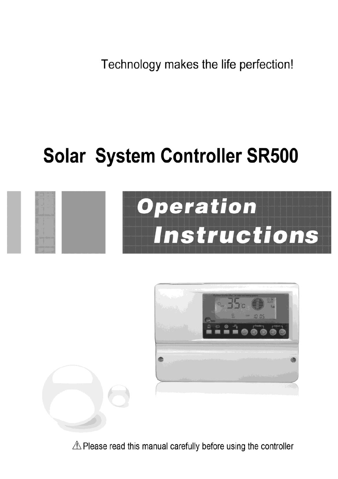Technology makes the life perfection!

# **Solar System Controller SR500**



 $\triangle$  Please read this manual carefully before using the controller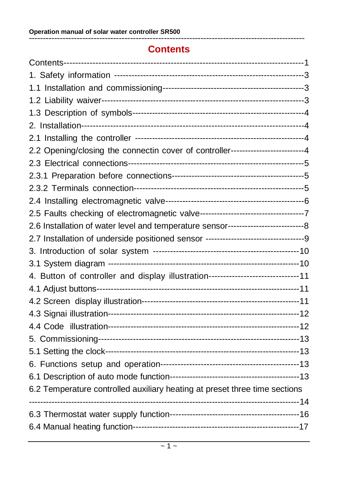## **Contents**

--------------------------------------------------------------------------------------------------

| 2.2 Opening/closing the connectin cover of controller------------------------4           |  |
|------------------------------------------------------------------------------------------|--|
|                                                                                          |  |
|                                                                                          |  |
|                                                                                          |  |
|                                                                                          |  |
|                                                                                          |  |
| 2.6 Installation of water level and temperature sensor---------------------------------8 |  |
|                                                                                          |  |
|                                                                                          |  |
|                                                                                          |  |
| 4. Button of controller and display illustration------------------------------11         |  |
|                                                                                          |  |
|                                                                                          |  |
|                                                                                          |  |
|                                                                                          |  |
|                                                                                          |  |
|                                                                                          |  |
|                                                                                          |  |
|                                                                                          |  |
| 6.2 Temperature controlled auxiliary heating at preset three time sections               |  |
|                                                                                          |  |
|                                                                                          |  |
|                                                                                          |  |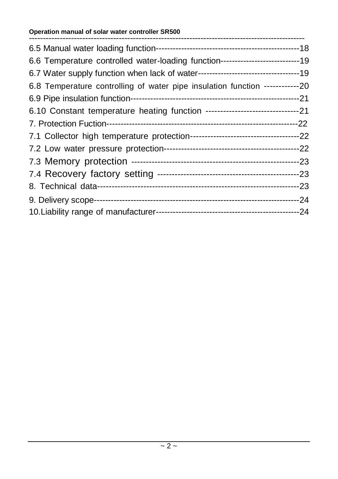#### **Operation manual of solar water controller SR500**

| 6.6 Temperature controlled water-loading function-------------------------------- |  |
|-----------------------------------------------------------------------------------|--|
|                                                                                   |  |
| 6.8 Temperature controlling of water pipe insulation function ------------20      |  |
|                                                                                   |  |
|                                                                                   |  |
|                                                                                   |  |
|                                                                                   |  |
|                                                                                   |  |
|                                                                                   |  |
|                                                                                   |  |
|                                                                                   |  |
|                                                                                   |  |
|                                                                                   |  |
|                                                                                   |  |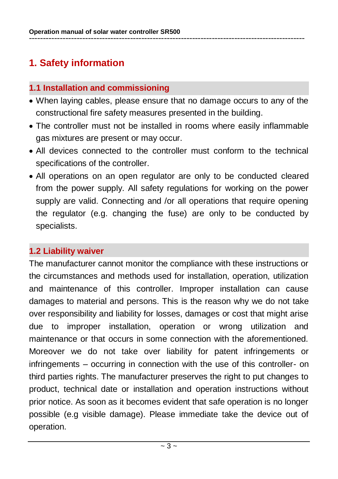# **1. Safety information**

## **1.1 Installation and commissioning**

- When laying cables, please ensure that no damage occurs to any of the constructional fire safety measures presented in the building.
- The controller must not be installed in rooms where easily inflammable gas mixtures are present or may occur.
- All devices connected to the controller must conform to the technical specifications of the controller.
- All operations on an open regulator are only to be conducted cleared from the power supply. All safety regulations for working on the power supply are valid. Connecting and /or all operations that require opening the regulator (e.g. changing the fuse) are only to be conducted by specialists.

## **1.2 Liability waiver**

The manufacturer cannot monitor the compliance with these instructions or the circumstances and methods used for installation, operation, utilization and maintenance of this controller. Improper installation can cause damages to material and persons. This is the reason why we do not take over responsibility and liability for losses, damages or cost that might arise due to improper installation, operation or wrong utilization and maintenance or that occurs in some connection with the aforementioned. Moreover we do not take over liability for patent infringements or infringements – occurring in connection with the use of this controller- on third parties rights. The manufacturer preserves the right to put changes to product, technical date or installation and operation instructions without prior notice. As soon as it becomes evident that safe operation is no longer possible (e.g visible damage). Please immediate take the device out of operation.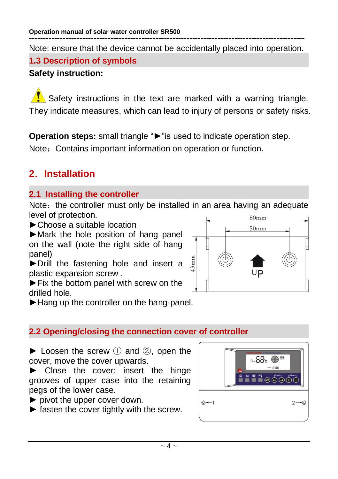-------------------------------------------------------------------------------------------------- Note: ensure that the device cannot be accidentally placed into operation. **1.3 Description of symbols**

## **Safety instruction:**

Safety instructions in the text are marked with a warning triangle. They indicate measures, which can lead to injury of persons or safety risks.

**Operation steps:** small triangle "►"is used to indicate operation step. Note: Contains important information on operation or function.

# **2**.**Installation**

## **2.1 Installing the controller**

Note: the controller must only be installed in an area having an adequate level of protection.  $80mm$ 

►Choose a suitable location

►Mark the hole position of hang panel on the wall (note the right side of hang panel)

►Drill the fastening hole and insert a plastic expansion screw .

►Fix the bottom panel with screw on the drilled hole.



►Hang up the controller on the hang-panel.

## **2.2 Opening/closing the connection cover of controller**

 $\blacktriangleright$  Loosen the screw  $(1)$  and  $(2)$ , open the cover, move the cover upwards.

► Close the cover: insert the hinge grooves of upper case into the retaining pegs of the lower case.

- ► pivot the upper cover down.
- $\blacktriangleright$  fasten the cover tightly with the screw.

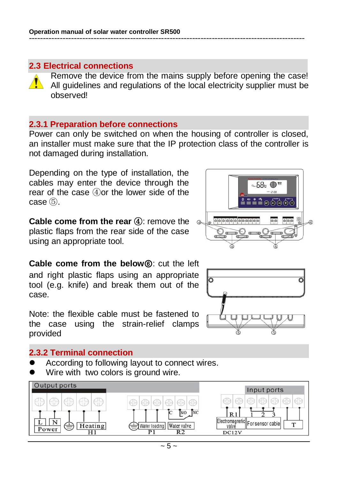#### **2.3 Electrical connections**

Remove the device from the mains supply before opening the case! All guidelines and regulations of the local electricity supplier must be observed!

#### **2.3.1 Preparation before connections**

Power can only be switched on when the housing of controller is closed, an installer must make sure that the IP protection class of the controller is not damaged during installation.

Depending on the type of installation, the cables may enter the device through the rear of the case ④or the lower side of the case ⑤.

**Cable come from the rear 4:** remove the plastic flaps from the rear side of the case using an appropriate tool.

**Cable come from the below**⑥: cut the left and right plastic flaps using an appropriate tool (e.g. knife) and break them out of the case.

Note: the flexible cable must be fastened to the case using the strain-relief clamps provided

#### **2.3.2 Terminal connection**

- According to following layout to connect wires.
- Wire with two colors is ground wire.





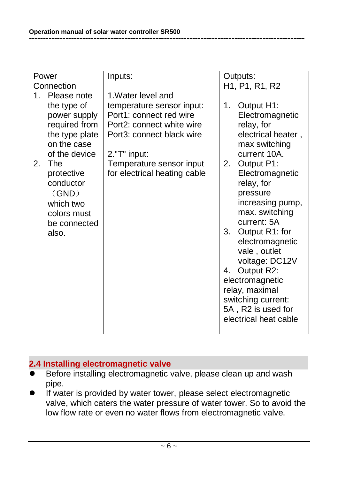| Power      |                | Inputs:                      | Outputs: |                                                                   |
|------------|----------------|------------------------------|----------|-------------------------------------------------------------------|
| Connection |                |                              |          | H <sub>1</sub> , P <sub>1</sub> , R <sub>1</sub> , R <sub>2</sub> |
| $1 \quad$  | Please note    | 1. Water level and           |          |                                                                   |
|            | the type of    | temperature sensor input:    | 1.       | Output H1:                                                        |
|            | power supply   | Port1: connect red wire      |          | Electromagnetic                                                   |
|            | required from  | Port2: connect white wire    |          | relay, for                                                        |
|            | the type plate | Port3: connect black wire    |          | electrical heater,                                                |
|            | on the case    |                              |          | max switching                                                     |
|            | of the device  | 2."T" input:                 |          | current 10A.                                                      |
| 2.         | The            | Temperature sensor input     | 2.       | Output P1:                                                        |
|            | protective     | for electrical heating cable |          | Electromagnetic                                                   |
|            | conductor      |                              |          | relay, for                                                        |
|            | (GND)          |                              |          | pressure                                                          |
|            | which two      |                              |          | increasing pump,                                                  |
|            | colors must    |                              |          | max. switching                                                    |
|            | be connected   |                              |          | current: 5A                                                       |
|            | also.          |                              | 3.       | Output R1: for                                                    |
|            |                |                              |          | electromagnetic                                                   |
|            |                |                              |          | vale, outlet                                                      |
|            |                |                              |          | voltage: DC12V                                                    |
|            |                |                              | 4.       | Output R2:                                                        |
|            |                |                              |          | electromagnetic                                                   |
|            |                |                              |          | relay, maximal                                                    |
|            |                |                              |          | switching current:                                                |
|            |                |                              |          | 5A, R2 is used for                                                |
|            |                |                              |          | electrical heat cable                                             |
|            |                |                              |          |                                                                   |

## **2.4 Installing electromagnetic valve**

- **Before installing electromagnetic valve, please clean up and wash** pipe.
- If water is provided by water tower, please select electromagnetic valve, which caters the water pressure of water tower. So to avoid the low flow rate or even no water flows from electromagnetic valve.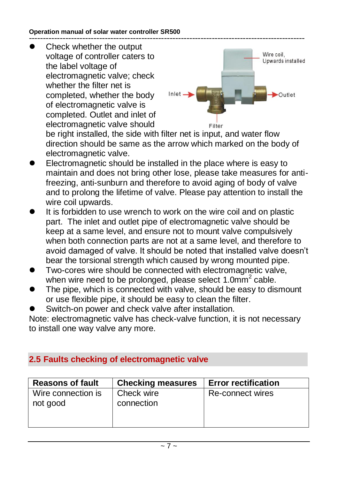#### **Operation manual of solar water controller SR500** --------------------------------------------------------------------------------------------------

 Check whether the output voltage of controller caters to the label voltage of electromagnetic valve; check whether the filter net is completed, whether the body of electromagnetic valve is completed. Outlet and inlet of electromagnetic valve should



be right installed, the side with filter net is input, and water flow direction should be same as the arrow which marked on the body of electromagnetic valve.

- Electromagnetic should be installed in the place where is easy to maintain and does not bring other lose, please take measures for antifreezing, anti-sunburn and therefore to avoid aging of body of valve and to prolong the lifetime of valve. Please pay attention to install the wire coil upwards.
- It is forbidden to use wrench to work on the wire coil and on plastic part. The inlet and outlet pipe of electromagnetic valve should be keep at a same level, and ensure not to mount valve compulsively when both connection parts are not at a same level, and therefore to avoid damaged of valve. It should be noted that installed valve doesn't bear the torsional strength which caused by wrong mounted pipe.
- Two-cores wire should be connected with electromagnetic valve, when wire need to be prolonged, please select 1.0mm<sup>2</sup> cable.
- The pipe, which is connected with valve, should be easy to dismount or use flexible pipe, it should be easy to clean the filter.
- Switch-on power and check valve after installation.

Note: electromagnetic valve has check-valve function, it is not necessary to install one way valve any more.

## **2.5 Faults checking of electromagnetic valve**

| <b>Reasons of fault</b>        | <b>Checking measures</b> | <b>Error rectification</b> |
|--------------------------------|--------------------------|----------------------------|
| Wire connection is<br>not good | Check wire<br>connection | Re-connect wires           |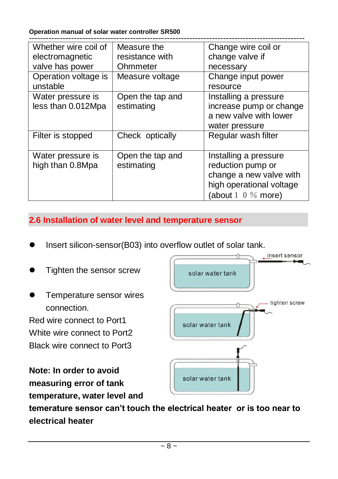**Operation manual of solar water controller SR500**

| Whether wire coil of<br>electromagnetic | Measure the<br>resistance with | Change wire coil or<br>change valve if                                                                                       |
|-----------------------------------------|--------------------------------|------------------------------------------------------------------------------------------------------------------------------|
| valve has power                         | Ohmmeter                       | necessary                                                                                                                    |
| Operation voltage is<br>unstable        | Measure voltage                | Change input power<br>resource                                                                                               |
| Water pressure is<br>less than 0.012Mpa | Open the tap and<br>estimating | Installing a pressure<br>increase pump or change<br>a new valve with lower<br>water pressure                                 |
| Filter is stopped                       | Check optically                | Regular wash filter                                                                                                          |
| Water pressure is<br>high than 0.8Mpa   | Open the tap and<br>estimating | Installing a pressure<br>reduction pump or<br>change a new valve with<br>high operational voltage<br>(about $1 \t0 \%$ more) |

## **2.6 Installation of water level and temperature sensor**

- Insert silicon-sensor(B03) into overflow outlet of solar tank.
- Tighten the sensor screw
- Temperature sensor wires connection.

Red wire connect to Port1 White wire connect to Port2 Black wire connect to Port3

**Note: In order to avoid measuring error of tank temperature, water level and** 



**temerature sensor can't touch the electrical heater or is too near to electrical heater**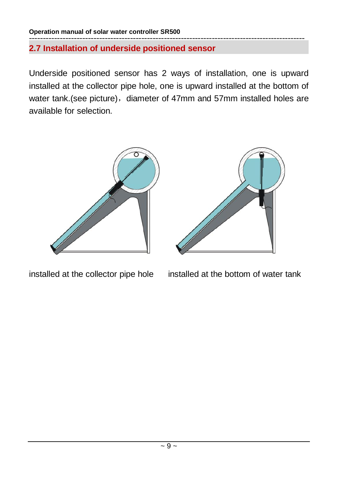**2.7 Installation of underside positioned sensor**

Underside positioned sensor has 2 ways of installation, one is upward installed at the collector pipe hole, one is upward installed at the bottom of water tank.(see picture), diameter of 47mm and 57mm installed holes are available for selection.







installed at the collector pipe hole installed at the bottom of water tank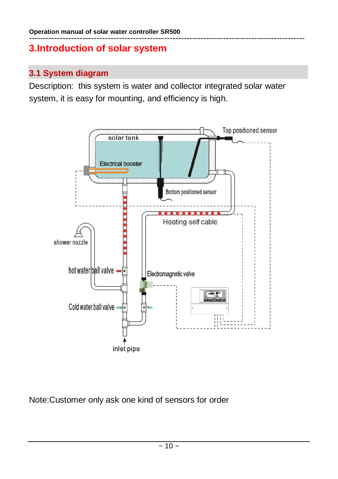## **3.Introduction of solar system**

## **3.1 System diagram**

Description: this system is water and collector integrated solar water system, it is easy for mounting, and efficiency is high.



Note:Customer only ask one kind of sensors for order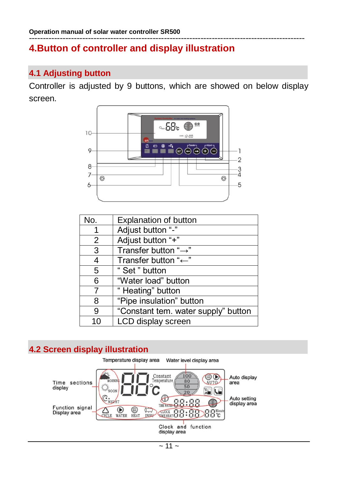## **4.Button of controller and display illustration**

## **4.1 Adjusting button**

Controller is adjusted by 9 buttons, which are showed on below display screen.



| No.            | <b>Explanation of button</b>        |
|----------------|-------------------------------------|
|                | Adjust button "-"                   |
| 2              | Adjust button "+"                   |
| 3              | Transfer button " $\rightarrow$ "   |
| 4              | Transfer button "←"                 |
| 5              | "Set" button                        |
| 6              | "Water load" button                 |
| $\overline{7}$ | "Heating" button                    |
| 8              | "Pipe insulation" button            |
| 9              | "Constant tem. water supply" button |
| 10             | LCD display screen                  |

## **4.2 Screen display illustration**

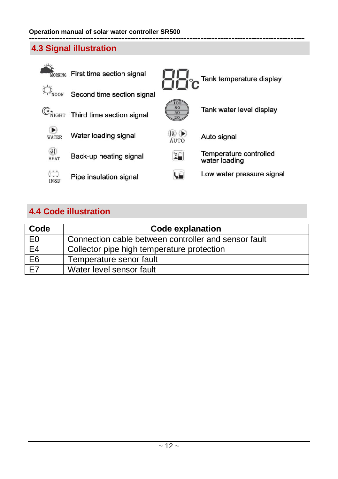## **4.3 Signal illustration**



## **4.4 Code illustration**

| Code            | <b>Code explanation</b>                              |
|-----------------|------------------------------------------------------|
| E0              | Connection cable between controller and sensor fault |
| E4              | Collector pipe high temperature protection           |
| E <sub>6</sub>  | Temperature senor fault                              |
| $\overline{F7}$ | Water level sensor fault                             |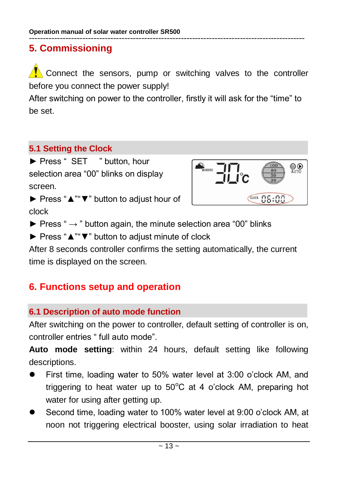## **5. Commissioning**

Connect the sensors, pump or switching valves to the controller before you connect the power supply!

After switching on power to the controller, firstly it will ask for the "time" to be set.

## **5.1 Setting the Clock**

► Press " SET " button, hour selection area "00" blinks on display screen.



► Press "▲""▼" button to adjust hour of clock

 $\blacktriangleright$  Press "  $\rightarrow$  " button again, the minute selection area "00" blinks

► Press "▲""▼" button to adjust minute of clock

After 8 seconds controller confirms the setting automatically, the current time is displayed on the screen.

## **6. Functions setup and operation**

## **6.1 Description of auto mode function**

After switching on the power to controller, default setting of controller is on, controller entries " full auto mode".

**Auto mode setting**: within 24 hours, default setting like following descriptions.

- First time, loading water to 50% water level at 3:00 o'clock AM, and triggering to heat water up to  $50^{\circ}$ C at 4 o'clock AM, preparing hot water for using after getting up.
- Second time, loading water to 100% water level at 9:00 o'clock AM, at noon not triggering electrical booster, using solar irradiation to heat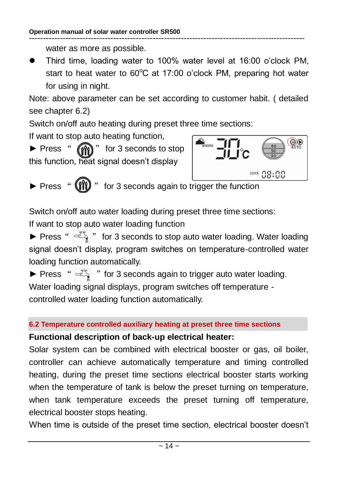water as more as possible.

 Third time, loading water to 100% water level at 16:00 o'clock PM, start to heat water to  $60^{\circ}$ C at 17:00 o'clock PM, preparing hot water for using in night.

Note: above parameter can be set according to customer habit. ( detailed see chapter 6.2)

Switch on/off auto heating during preset three time sections:

If want to stop auto heating function,

► Press " ( $^{\circ}$  ( $^{\circ}$ )<sup></sup> for 3 seconds to stop this function, heat signal doesn't display



► Press " (III) " for 3 seconds again to trigger the function

Switch on/off auto water loading during preset three time sections:

If want to stop auto water loading function

▶ Press "  $\left| \exists \right|$  " for 3 seconds to stop auto water loading. Water loading signal doesn't display, program switches on temperature-controlled water loading function automatically.

 $\blacktriangleright$  Press " $\left| \begin{matrix} \pm \sqrt{2} \\ \pm \sqrt{2} \end{matrix} \right|$ " for 3 seconds again to trigger auto water loading. Water loading signal displays, program switches off temperature controlled water loading function automatically.

#### **6.2 Temperature controlled auxiliary heating at preset three time sections**

#### **Functional description of back-up electrical heater:**

Solar system can be combined with electrical booster or gas, oil boiler, controller can achieve automatically temperature and timing controlled heating, during the preset time sections electrical booster starts working when the temperature of tank is below the preset turning on temperature, when tank temperature exceeds the preset turning off temperature, electrical booster stops heating.

When time is outside of the preset time section, electrical booster doesn't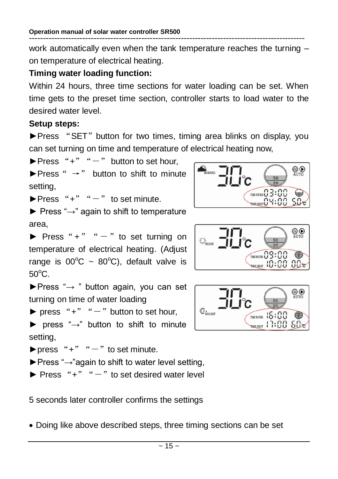work automatically even when the tank temperature reaches the turning – on temperature of electrical heating.

#### **Timing water loading function:**

Within 24 hours, three time sections for water loading can be set. When time gets to the preset time section, controller starts to load water to the desired water level.

#### **Setup steps:**

► Press "SET" button for two times, timing area blinks on display, you can set turning on time and temperature of electrical heating now,

 $\blacktriangleright$  Press "+" " $-$ " button to set hour.

 $\blacktriangleright$  Press "  $\rightarrow$ " button to shift to minute setting,

 $\blacktriangleright$  Press "+" " $-$ " to set minute.

 $\blacktriangleright$  Press " $\rightarrow$ " again to shift to temperature area,

 $\blacktriangleright$  Press "+" " $-$ " to set turning on temperature of electrical heating. (Adjust range is  $00^{\circ}C \sim 80^{\circ}C$ ), default valve is  $50^{\circ}$ C.

►Press "→ " button again, you can set turning on time of water loading

 $\triangleright$  press "+" " $-$ " button to set hour,

 $\triangleright$  press " $\rightarrow$ " button to shift to minute setting,

 $\blacktriangleright$  press "+" " $-$ " to set minute.

 $\blacktriangleright$  Press " $\rightarrow$ "again to shift to water level setting,

 $\triangleright$  Press "+" " $-$ " to set desired water level

5 seconds later controller confirms the settings

Doing like above described steps, three timing sections can be set





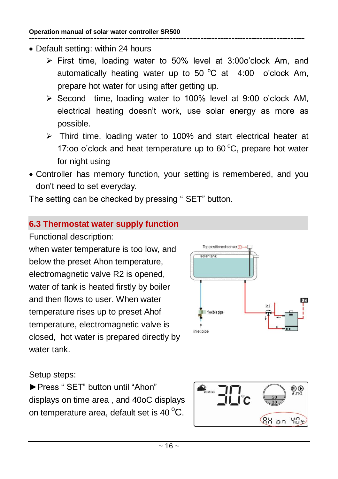- Default setting: within 24 hours
	- $\triangleright$  First time, loading water to 50% level at 3:00o'clock Am, and automatically heating water up to 50  $^{\circ}$ C at 4:00 o'clock Am. prepare hot water for using after getting up.
	- $\triangleright$  Second time, loading water to 100% level at 9:00 o'clock AM, electrical heating doesn't work, use solar energy as more as possible.
	- $\triangleright$  Third time, loading water to 100% and start electrical heater at 17:00 o'clock and heat temperature up to  $60^{\circ}$ C, prepare hot water for night using
- Controller has memory function, your setting is remembered, and you don't need to set everyday.

The setting can be checked by pressing " SET" button.

## **6.3 Thermostat water supply function**

Functional description:

when water temperature is too low, and below the preset Ahon temperature, electromagnetic valve R2 is opened, water of tank is heated firstly by boiler and then flows to user. When water temperature rises up to preset Ahof temperature, electromagnetic valve is closed, hot water is prepared directly by water tank.



## Setup steps:

►Press " SET" button until "Ahon" displays on time area , and 40oC displays on temperature area, default set is 40 $\mathrm{^oC}$ .

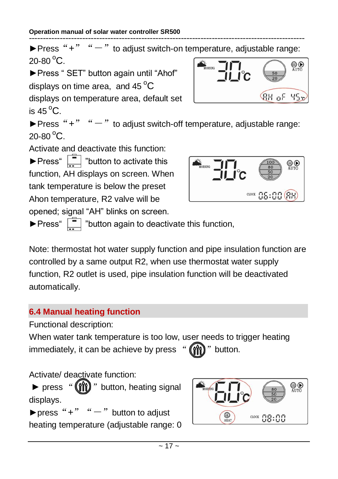-------------------------------------------------------------------------------------------------- ▶ Press "+"  $" -"$  to adjust switch-on temperature, adjustable range:  $20 - 80$ <sup>o</sup>C. **OO** ►Press " SET" button again until "Ahof" displays on time area. and  $45^{\circ}$ C **RH of 45%** displays on temperature area, default set is 45 $^{\circ}$ C. ▶ Press "+"  $" -"$  to adjust switch-off temperature, adjustable range:  $20-80$   $^{\circ}$ C. Activate and deactivate this function:  $\blacktriangleright$  Press"  $\boxed{\square}$  "button to activate this ®® function, AH displays on screen. When

opened; signal "AH" blinks on screen. ▶Press" nation again to deactivate this function,

Note: thermostat hot water supply function and pipe insulation function are controlled by a same output R2, when use thermostat water supply function, R2 outlet is used, pipe insulation function will be deactivated automatically.

## **6.4 Manual heating function**

tank temperature is below the preset Ahon temperature, R2 valve will be

Functional description:

When water tank temperature is too low, user needs to trigger heating immediately, it can be achieve by press " $(\hat{\mathbf{m}})$ " button.

Activate/ deactivate function:

► press " (III) " button, heating signal displays.

▶press "+"  $" -"$  button to adjust heating temperature (adjustable range: 0



 $\frac{\text{cocx}}{\text{cocx}}$  85:88 (88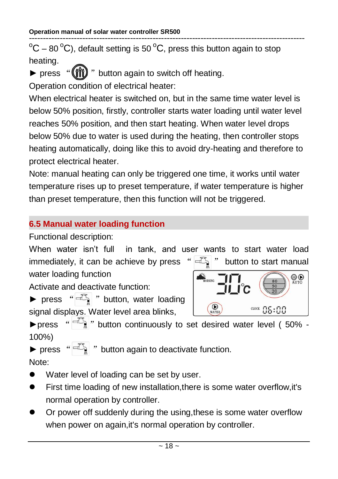--------------------------------------------------------------------------------------------------  $\mathrm{^oC}$  – 80  $\mathrm{^oC}$ ), default setting is 50  $\mathrm{^oC}$ , press this button again to stop heating.

 $\triangleright$  press " $(\hat{m})$ " button again to switch off heating.

Operation condition of electrical heater:

When electrical heater is switched on, but in the same time water level is below 50% position, firstly, controller starts water loading until water level reaches 50% position, and then start heating. When water level drops below 50% due to water is used during the heating, then controller stops heating automatically, doing like this to avoid dry-heating and therefore to protect electrical heater.

Note: manual heating can only be triggered one time, it works until water temperature rises up to preset temperature, if water temperature is higher than preset temperature, then this function will not be triggered.

## **6.5 Manual water loading function**

Functional description:

When water isn't full in tank, and user wants to start water load immediately, it can be achieve by press " $\left| \exists \right|$ " button to start manual

 $\bigcirc$ 

 $CIOCE$   $\Omega$ 5:00

water loading function

Activate and deactivate function:

 $\triangleright$  press " $\overline{C_1}$ " button, water loading signal displays. Water level area blinks,

**>**press " $\mathbb{F}_n$ " button continuously to set desired water level ( 50% -100%)

 $\bigcirc$ 

 $\blacktriangleright$  press " $\overline{C_{\mathbb{R}}}$ " button again to deactivate function. Note:

• Water level of loading can be set by user.

- First time loading of new installation,there is some water overflow,it's normal operation by controller.
- Or power off suddenly during the using,these is some water overflow when power on again,it's normal operation by controller.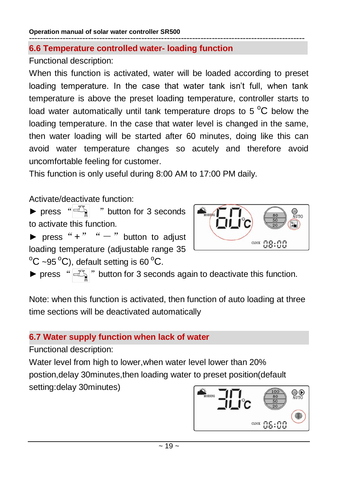#### **6.6 Temperature controlled water- loading function**

Functional description:

When this function is activated, water will be loaded according to preset loading temperature. In the case that water tank isn't full, when tank temperature is above the preset loading temperature, controller starts to load water automatically until tank temperature drops to 5 $\mathrm{^{\circ}C}$  below the loading temperature. In the case that water level is changed in the same, then water loading will be started after 60 minutes, doing like this can avoid water temperature changes so acutely and therefore avoid uncomfortable feeling for customer.

This function is only useful during 8:00 AM to 17:00 PM daily.

Activate/deactivate function:

 $\triangleright$  press " $\overline{=}$   $\overline{=}$ " button for 3 seconds to activate this function.

**BD**<br>AUTO  $CIO3:00$ 

 $\triangleright$  press "+" " $-$ " button to adjust loading temperature (adjustable range 35  $\mathrm{^{\circ}C}$  ~95  $\mathrm{^{\circ}C}$ ), default setting is 60  $\mathrm{^{\circ}C}$ .

▶ press " $\mathbb{E}$ " button for 3 seconds again to deactivate this function.

Note: when this function is activated, then function of auto loading at three time sections will be deactivated automatically

## **6.7 Water supply function when lack of water**

Functional description:

Water level from high to lower,when water level lower than 20% postion,delay 30minutes,then loading water to preset position(default setting:delay 30minutes)

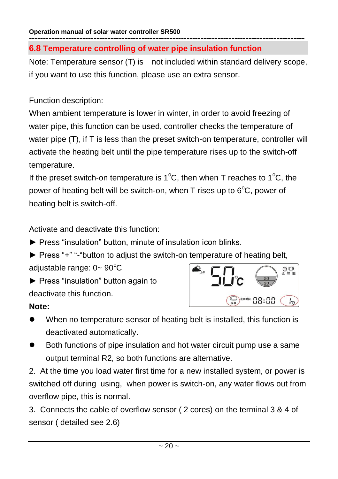#### **Operation manual of solar water controller SR500** --------------------------------------------------------------------------------------------------

#### **6.8 Temperature controlling of water pipe insulation function**

Note: Temperature sensor (T) is not included within standard delivery scope, if you want to use this function, please use an extra sensor.

#### Function description:

When ambient temperature is lower in winter, in order to avoid freezing of water pipe, this function can be used, controller checks the temperature of water pipe (T), if T is less than the preset switch-on temperature, controller will activate the heating belt until the pipe temperature rises up to the switch-off temperature.

If the preset switch-on temperature is 1<sup>o</sup>C, then when T reaches to 1<sup>o</sup>C, the power of heating belt will be switch-on, when  $T$  rises up to  $6^{\circ}C$ , power of heating belt is switch-off.

Activate and deactivate this function:

- ► Press "insulation" button, minute of insulation icon blinks.
- ► Press "+" "-"button to adjust the switch-on temperature of heating belt,

adjustable range:  $0 \sim 90^{\circ}$ C

► Press "insulation" button again to deactivate this function.

#### **Note:**

- **◎ ⇔**<br>全智能 88:88  $\lceil \cdot \rceil$
- When no temperature sensor of heating belt is installed, this function is deactivated automatically.
- Both functions of pipe insulation and hot water circuit pump use a same output terminal R2, so both functions are alternative.

2. At the time you load water first time for a new installed system, or power is switched off during using, when power is switch-on, any water flows out from overflow pipe, this is normal.

3. Connects the cable of overflow sensor ( 2 cores) on the terminal 3 & 4 of sensor ( detailed see 2.6)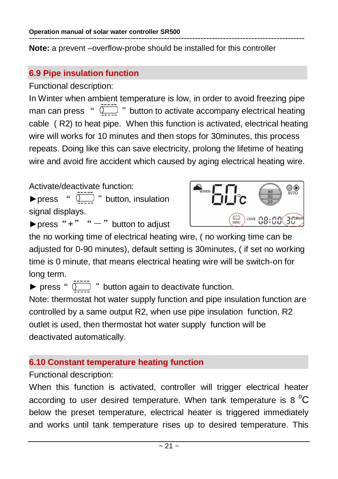**Note:** a prevent –overflow-probe should be installed for this controller

## **6.9 Pipe insulation function**

Functional description:

In Winter when ambient temperature is low, in order to avoid freezing pipe man can press  $\sqrt[n]{\cdots}$  " button to activate accompany electrical heating cable ( R2) to heat pipe. When this function is activated, electrical heating wire will works for 10 minutes and then stops for 30minutes, this process repeats. Doing like this can save electricity, prolong the lifetime of heating wire and avoid fire accident which caused by aging electrical heating wire.

Activate/deactivate function:

 $\triangleright$  press "  $\overline{0}$ " button, insulation signal displays.



▶press "+"  $" -"$  button to adjust

the no working time of electrical heating wire, ( no working time can be adjusted for 0-90 minutes), default setting is 30minutes, ( if set no working time is 0 minute, that means electrical heating wire will be switch-on for long term.

 $\triangleright$  press " $\overline{1}$ " button again to deactivate function.

Note: thermostat hot water supply function and pipe insulation function are controlled by a same output R2, when use pipe insulation function, R2 outlet is used, then thermostat hot water supply function will be deactivated automatically.

## **6.10 Constant temperature heating function**

Functional description:

When this function is activated, controller will trigger electrical heater according to user desired temperature. When tank temperature is 8  $^{\circ}$ C below the preset temperature, electrical heater is triggered immediately and works until tank temperature rises up to desired temperature. This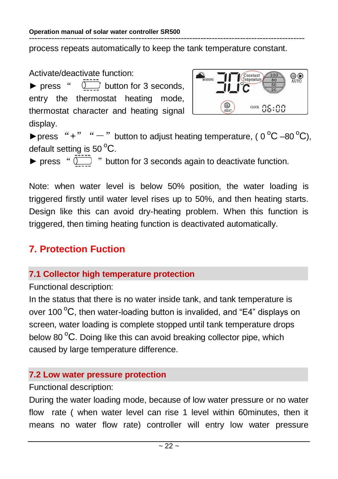process repeats automatically to keep the tank temperature constant.

Activate/deactivate function:

 $\triangleright$  press "  $\overline{1}$  button for 3 seconds, entry the thermostat heating mode, thermostat character and heating signal display.



▶press "+" " $-$ " button to adjust heating temperature, (  $0^{\circ}$ C –80  $^{\circ}$ C), default setting is  $50^{\circ}$ C.

► press "  $\sum$  " button for 3 seconds again to deactivate function.

Note: when water level is below 50% position, the water loading is triggered firstly until water level rises up to 50%, and then heating starts. Design like this can avoid dry-heating problem. When this function is triggered, then timing heating function is deactivated automatically.

# **7. Protection Fuction**

## **7.1 Collector high temperature protection**

Functional description:

In the status that there is no water inside tank, and tank temperature is over 100 $\mathrm{^oC}$ , then water-loading button is invalided, and "E4" displays on screen, water loading is complete stopped until tank temperature drops below 80 $\mathrm{^{\circ}C}$ . Doing like this can avoid breaking collector pipe, which caused by large temperature difference.

## **7.2 Low water pressure protection**

#### Functional description:

During the water loading mode, because of low water pressure or no water flow rate ( when water level can rise 1 level within 60minutes, then it means no water flow rate) controller will entry low water pressure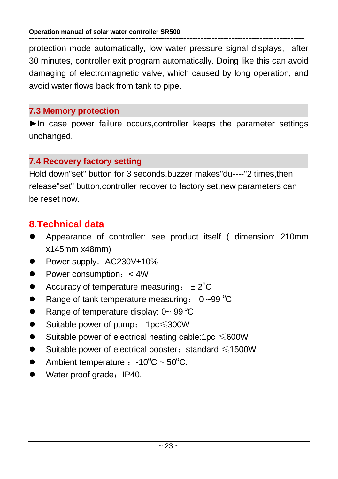protection mode automatically, low water pressure signal displays, after 30 minutes, controller exit program automatically. Doing like this can avoid damaging of electromagnetic valve, which caused by long operation, and avoid water flows back from tank to pipe.

#### **7.3 Memory protection**

►In case power failure occurs,controller keeps the parameter settings unchanged.

## **7.4 Recovery factory setting**

Hold down"set" button for 3 seconds,buzzer makes"du----"2 times,then release"set" button,controller recover to factory set,new parameters can be reset now.

## **8.Technical data**

- Appearance of controller: see product itself ( dimension: 210mm x145mm x48mm)
- Power supply: AC230V±10%
- Power consumption: <4W
- Accuracy of temperature measuring:  $\pm 2^{\circ}C$
- Range of tank temperature measuring:  $0 \sim 99 \degree C$
- Range of temperature display:  $0 \sim 99^{\circ}C$
- Suitable power of pump: 1pc≤300W
- $\bullet$  Suitable power of electrical heating cable:1pc ≤600W
- $\bullet$  Suitable power of electrical booster: standard ≤1500W.
- Ambient temperature  $: -10^{\circ}C \sim 50^{\circ}C$ .
- Water proof grade: IP40.